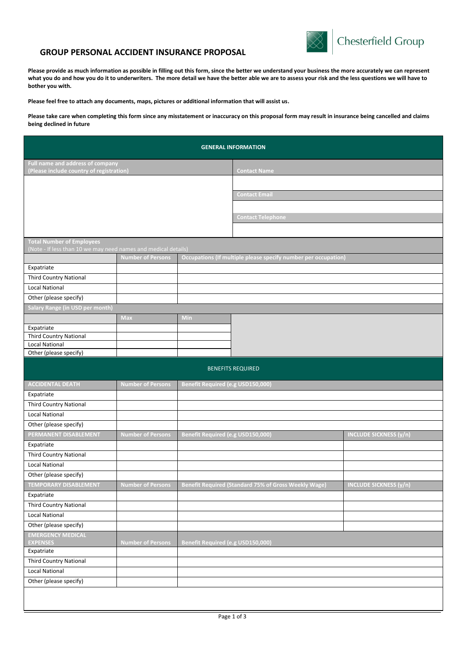

## **GROUP PERSONAL ACCIDENT INSURANCE PROPOSAL**

**Please provide as much information as possible in filling out this form, since the better we understand your business the more accurately we can represent what you do and how you do it to underwriters. The more detail we have the better able we are to assess your risk and the less questions we will have to bother you with.** 

**Please feel free to attach any documents, maps, pictures or additional information that will assist us.**

**Please take care when completing this form since any misstatement or inaccuracy on this proposal form may result in insurance being cancelled and claims being declined in future**

| <b>GENERAL INFORMATION</b>                                                                         |                          |                                   |                                                                |                               |  |  |
|----------------------------------------------------------------------------------------------------|--------------------------|-----------------------------------|----------------------------------------------------------------|-------------------------------|--|--|
| Full name and address of company<br>(Please include country of registration)                       |                          |                                   | <b>Contact Name</b>                                            |                               |  |  |
|                                                                                                    |                          |                                   |                                                                |                               |  |  |
|                                                                                                    |                          | <b>Contact Email</b>              |                                                                |                               |  |  |
|                                                                                                    |                          |                                   |                                                                |                               |  |  |
|                                                                                                    |                          |                                   |                                                                |                               |  |  |
|                                                                                                    |                          |                                   | <b>Contact Telephone</b>                                       |                               |  |  |
|                                                                                                    |                          |                                   |                                                                |                               |  |  |
| <b>Total Number of Employees</b><br>(Note - If less than 10 we may need names and medical details) |                          |                                   |                                                                |                               |  |  |
|                                                                                                    | <b>Number of Persons</b> |                                   | Occupations (If multiple please specify number per occupation) |                               |  |  |
| Expatriate                                                                                         |                          |                                   |                                                                |                               |  |  |
| <b>Third Country National</b>                                                                      |                          |                                   |                                                                |                               |  |  |
| <b>Local National</b>                                                                              |                          |                                   |                                                                |                               |  |  |
| Other (please specify)                                                                             |                          |                                   |                                                                |                               |  |  |
| <b>Salary Range (in USD per month)</b>                                                             |                          |                                   |                                                                |                               |  |  |
|                                                                                                    | Max                      | Min                               |                                                                |                               |  |  |
| Expatriate                                                                                         |                          |                                   |                                                                |                               |  |  |
| <b>Third Country National</b>                                                                      |                          |                                   |                                                                |                               |  |  |
| <b>Local National</b>                                                                              |                          |                                   |                                                                |                               |  |  |
| Other (please specify)                                                                             |                          |                                   |                                                                |                               |  |  |
| <b>BENEFITS REQUIRED</b>                                                                           |                          |                                   |                                                                |                               |  |  |
| <b>ACCIDENTAL DEATH</b>                                                                            | <b>Number of Persons</b> | Benefit Required (e.g USD150,000) |                                                                |                               |  |  |
| Expatriate                                                                                         |                          |                                   |                                                                |                               |  |  |
| <b>Third Country National</b>                                                                      |                          |                                   |                                                                |                               |  |  |
| <b>Local National</b>                                                                              |                          |                                   |                                                                |                               |  |  |
| Other (please specify)                                                                             |                          |                                   |                                                                |                               |  |  |
| PERMANENT DISABLEMENT                                                                              | <b>Number of Persons</b> | Benefit Required (e.g USD150,000) |                                                                | <b>INCLUDE SICKNESS (y/n)</b> |  |  |
| Expatriate                                                                                         |                          |                                   |                                                                |                               |  |  |
| <b>Third Country National</b>                                                                      |                          |                                   |                                                                |                               |  |  |
| <b>Local National</b>                                                                              |                          |                                   |                                                                |                               |  |  |
| Other (please specify)                                                                             |                          |                                   |                                                                |                               |  |  |
| <b>TEMPORARY DISABLEMENT</b>                                                                       | <b>Number of Persons</b> |                                   | <b>Benefit Required (Standard 75% of Gross Weekly Wage)</b>    | <b>INCLUDE SICKNESS (y/n)</b> |  |  |
| Expatriate                                                                                         |                          |                                   |                                                                |                               |  |  |
| <b>Third Country National</b>                                                                      |                          |                                   |                                                                |                               |  |  |
| <b>Local National</b>                                                                              |                          |                                   |                                                                |                               |  |  |
| Other (please specify)                                                                             |                          |                                   |                                                                |                               |  |  |
| <b>EMERGENCY MEDICAL</b><br><b>EXPENSES</b>                                                        | <b>Number of Persons</b> | Benefit Required (e.g USD150,000) |                                                                |                               |  |  |
| Expatriate                                                                                         |                          |                                   |                                                                |                               |  |  |
| <b>Third Country National</b>                                                                      |                          |                                   |                                                                |                               |  |  |
| <b>Local National</b>                                                                              |                          |                                   |                                                                |                               |  |  |
| Other (please specify)                                                                             |                          |                                   |                                                                |                               |  |  |
|                                                                                                    |                          |                                   |                                                                |                               |  |  |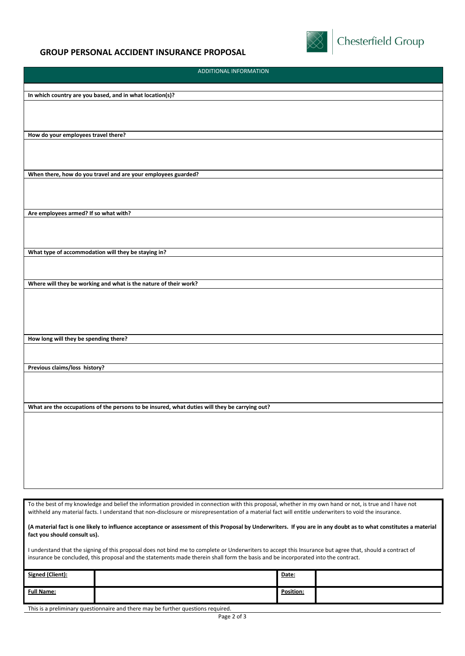

**Chesterfield Group** 

## ADDITIONAL INFORMATION **In which country are you based, and in what location(s)? How do your employees travel there? When there, how do you travel and are your employees guarded? Are employees armed? If so what with? What type of accommodation will they be staying in? Where will they be working and what is the nature of their work? How long will they be spending there? Previous claims/loss history? What are the occupations of the persons to be insured, what duties will they be carrying out?** To the best of my knowledge and belief the information provided in connection with this proposal, whether in my own hand or not, is true and I have not withheld any material facts. I understand that non-disclosure or misrepresentation of a material fact will entitle underwriters to void the insurance.

**(A material fact is one likely to influence acceptance or assessment of this Proposal by Underwriters. If you are in any doubt as to what constitutes a material fact you should consult us).**

I understand that the signing of this proposal does not bind me to complete or Underwriters to accept this Insurance but agree that, should a contract of insurance be concluded, this proposal and the statements made therein shall form the basis and be incorporated into the contract.

| Signed (Client):  |                                   | Date:     |  |
|-------------------|-----------------------------------|-----------|--|
| <b>Full Name:</b> |                                   | Position: |  |
| $\sim$            | .<br>.<br>$\sim$ $\sim$<br>$\sim$ |           |  |

This is a preliminary questionnaire and there may be further questions required.